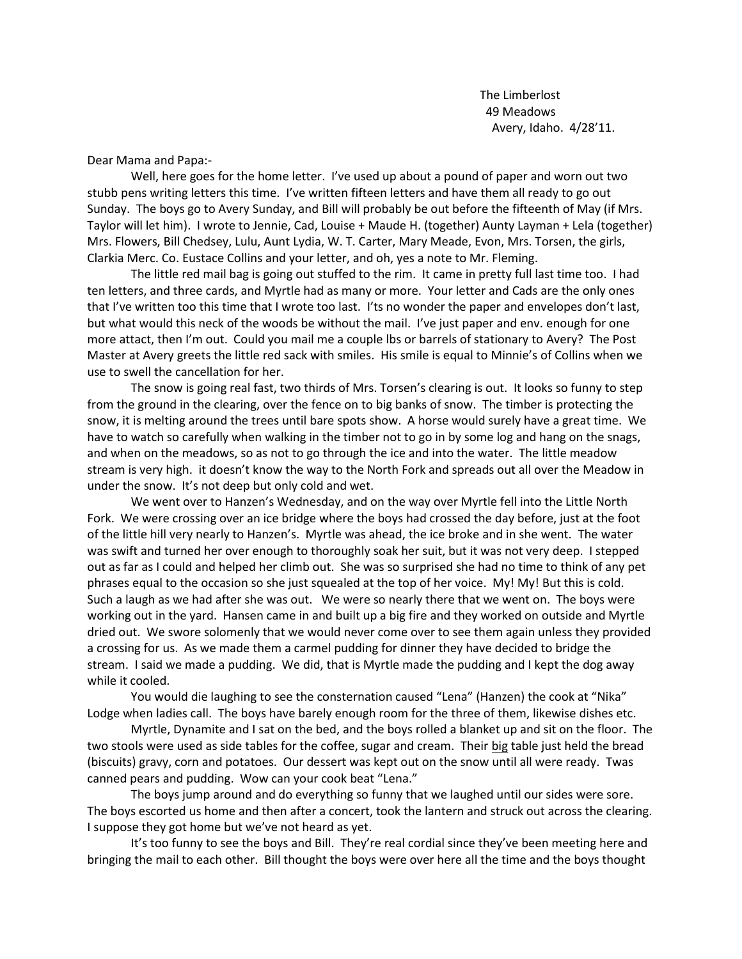The Limberlost 49 Meadows Avery, Idaho. 4/28'11.

Dear Mama and Papa:-

Well, here goes for the home letter. I've used up about a pound of paper and worn out two stubb pens writing letters this time. I've written fifteen letters and have them all ready to go out Sunday. The boys go to Avery Sunday, and Bill will probably be out before the fifteenth of May (if Mrs. Taylor will let him). I wrote to Jennie, Cad, Louise + Maude H. (together) Aunty Layman + Lela (together) Mrs. Flowers, Bill Chedsey, Lulu, Aunt Lydia, W. T. Carter, Mary Meade, Evon, Mrs. Torsen, the girls, Clarkia Merc. Co. Eustace Collins and your letter, and oh, yes a note to Mr. Fleming.

The little red mail bag is going out stuffed to the rim. It came in pretty full last time too. I had ten letters, and three cards, and Myrtle had as many or more. Your letter and Cads are the only ones that I've written too this time that I wrote too last. I'ts no wonder the paper and envelopes don't last, but what would this neck of the woods be without the mail. I've just paper and env. enough for one more attact, then I'm out. Could you mail me a couple lbs or barrels of stationary to Avery? The Post Master at Avery greets the little red sack with smiles. His smile is equal to Minnie's of Collins when we use to swell the cancellation for her.

The snow is going real fast, two thirds of Mrs. Torsen's clearing is out. It looks so funny to step from the ground in the clearing, over the fence on to big banks of snow. The timber is protecting the snow, it is melting around the trees until bare spots show. A horse would surely have a great time. We have to watch so carefully when walking in the timber not to go in by some log and hang on the snags, and when on the meadows, so as not to go through the ice and into the water. The little meadow stream is very high. it doesn't know the way to the North Fork and spreads out all over the Meadow in under the snow. It's not deep but only cold and wet.

We went over to Hanzen's Wednesday, and on the way over Myrtle fell into the Little North Fork. We were crossing over an ice bridge where the boys had crossed the day before, just at the foot of the little hill very nearly to Hanzen's. Myrtle was ahead, the ice broke and in she went. The water was swift and turned her over enough to thoroughly soak her suit, but it was not very deep. I stepped out as far as I could and helped her climb out. She was so surprised she had no time to think of any pet phrases equal to the occasion so she just squealed at the top of her voice. My! My! But this is cold. Such a laugh as we had after she was out. We were so nearly there that we went on. The boys were working out in the yard. Hansen came in and built up a big fire and they worked on outside and Myrtle dried out. We swore solomenly that we would never come over to see them again unless they provided a crossing for us. As we made them a carmel pudding for dinner they have decided to bridge the stream. I said we made a pudding. We did, that is Myrtle made the pudding and I kept the dog away while it cooled.

You would die laughing to see the consternation caused "Lena" (Hanzen) the cook at "Nika" Lodge when ladies call. The boys have barely enough room for the three of them, likewise dishes etc.

Myrtle, Dynamite and I sat on the bed, and the boys rolled a blanket up and sit on the floor. The two stools were used as side tables for the coffee, sugar and cream. Their big table just held the bread (biscuits) gravy, corn and potatoes. Our dessert was kept out on the snow until all were ready. Twas canned pears and pudding. Wow can your cook beat "Lena."

The boys jump around and do everything so funny that we laughed until our sides were sore. The boys escorted us home and then after a concert, took the lantern and struck out across the clearing. I suppose they got home but we've not heard as yet.

It's too funny to see the boys and Bill. They're real cordial since they've been meeting here and bringing the mail to each other. Bill thought the boys were over here all the time and the boys thought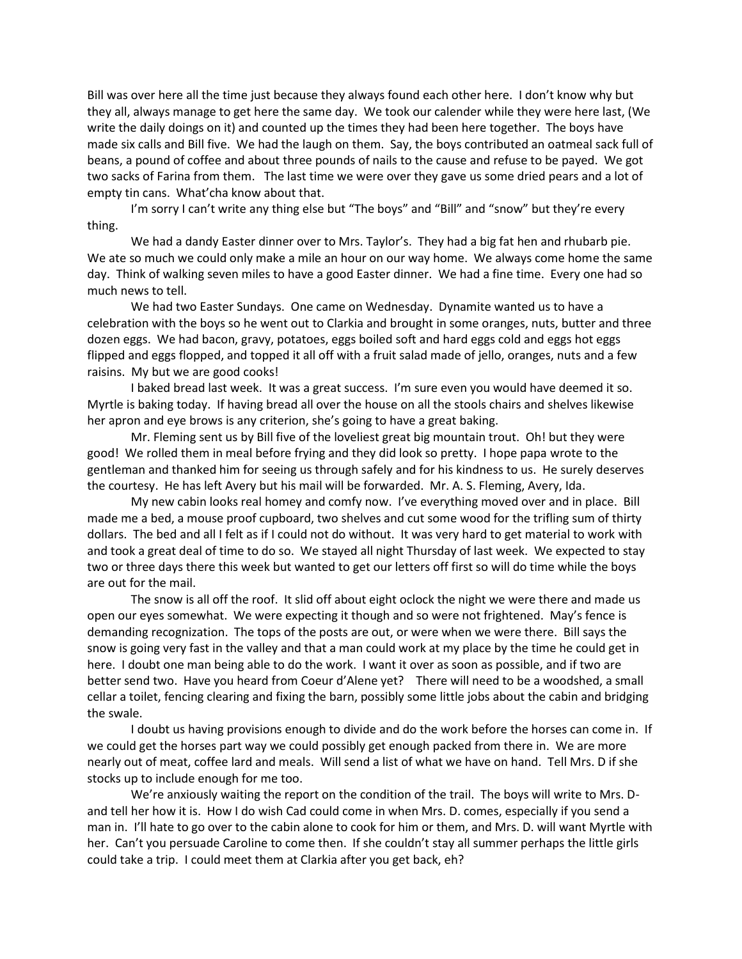Bill was over here all the time just because they always found each other here. I don't know why but they all, always manage to get here the same day. We took our calender while they were here last, (We write the daily doings on it) and counted up the times they had been here together. The boys have made six calls and Bill five. We had the laugh on them. Say, the boys contributed an oatmeal sack full of beans, a pound of coffee and about three pounds of nails to the cause and refuse to be payed. We got two sacks of Farina from them. The last time we were over they gave us some dried pears and a lot of empty tin cans. What'cha know about that.

I'm sorry I can't write any thing else but "The boys" and "Bill" and "snow" but they're every thing.

We had a dandy Easter dinner over to Mrs. Taylor's. They had a big fat hen and rhubarb pie. We ate so much we could only make a mile an hour on our way home. We always come home the same day. Think of walking seven miles to have a good Easter dinner. We had a fine time. Every one had so much news to tell.

We had two Easter Sundays. One came on Wednesday. Dynamite wanted us to have a celebration with the boys so he went out to Clarkia and brought in some oranges, nuts, butter and three dozen eggs. We had bacon, gravy, potatoes, eggs boiled soft and hard eggs cold and eggs hot eggs flipped and eggs flopped, and topped it all off with a fruit salad made of jello, oranges, nuts and a few raisins. My but we are good cooks!

I baked bread last week. It was a great success. I'm sure even you would have deemed it so. Myrtle is baking today. If having bread all over the house on all the stools chairs and shelves likewise her apron and eye brows is any criterion, she's going to have a great baking.

Mr. Fleming sent us by Bill five of the loveliest great big mountain trout. Oh! but they were good! We rolled them in meal before frying and they did look so pretty. I hope papa wrote to the gentleman and thanked him for seeing us through safely and for his kindness to us. He surely deserves the courtesy. He has left Avery but his mail will be forwarded. Mr. A. S. Fleming, Avery, Ida.

My new cabin looks real homey and comfy now. I've everything moved over and in place. Bill made me a bed, a mouse proof cupboard, two shelves and cut some wood for the trifling sum of thirty dollars. The bed and all I felt as if I could not do without. It was very hard to get material to work with and took a great deal of time to do so. We stayed all night Thursday of last week. We expected to stay two or three days there this week but wanted to get our letters off first so will do time while the boys are out for the mail.

The snow is all off the roof. It slid off about eight oclock the night we were there and made us open our eyes somewhat. We were expecting it though and so were not frightened. May's fence is demanding recognization. The tops of the posts are out, or were when we were there. Bill says the snow is going very fast in the valley and that a man could work at my place by the time he could get in here. I doubt one man being able to do the work. I want it over as soon as possible, and if two are better send two. Have you heard from Coeur d'Alene yet? There will need to be a woodshed, a small cellar a toilet, fencing clearing and fixing the barn, possibly some little jobs about the cabin and bridging the swale.

I doubt us having provisions enough to divide and do the work before the horses can come in. If we could get the horses part way we could possibly get enough packed from there in. We are more nearly out of meat, coffee lard and meals. Will send a list of what we have on hand. Tell Mrs. D if she stocks up to include enough for me too.

We're anxiously waiting the report on the condition of the trail. The boys will write to Mrs. Dand tell her how it is. How I do wish Cad could come in when Mrs. D. comes, especially if you send a man in. I'll hate to go over to the cabin alone to cook for him or them, and Mrs. D. will want Myrtle with her. Can't you persuade Caroline to come then. If she couldn't stay all summer perhaps the little girls could take a trip. I could meet them at Clarkia after you get back, eh?